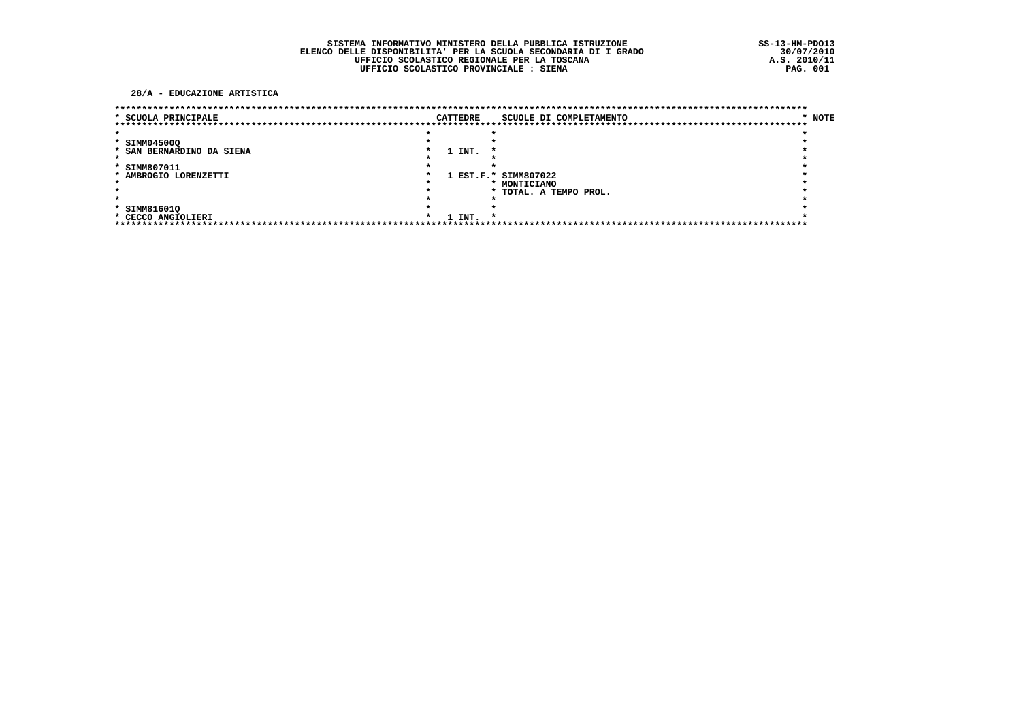#### 28/A - EDUCAZIONE ARTISTICA

| * SCUOLA PRINCIPALE       |  | <b>CATTEDRE</b> | SCUOLE DI COMPLETAMENTO | * NOTE |
|---------------------------|--|-----------------|-------------------------|--------|
|                           |  |                 |                         |        |
|                           |  |                 |                         |        |
| * SIMM04500Q              |  |                 |                         |        |
| * SAN BERNARDINO DA SIENA |  | 1 INT.          |                         |        |
|                           |  |                 |                         |        |
| * SIMM807011              |  |                 |                         |        |
| * AMBROGIO LORENZETTI     |  |                 | 1 EST.F.* SIMM807022    |        |
|                           |  |                 | * MONTICIANO            |        |
|                           |  |                 | * TOTAL. A TEMPO PROL.  |        |
| $\star$                   |  |                 |                         |        |
| * SIMM81601Q              |  |                 |                         |        |
| * CECCO ANGIOLIERI        |  | 1 INT.          |                         |        |
|                           |  |                 |                         |        |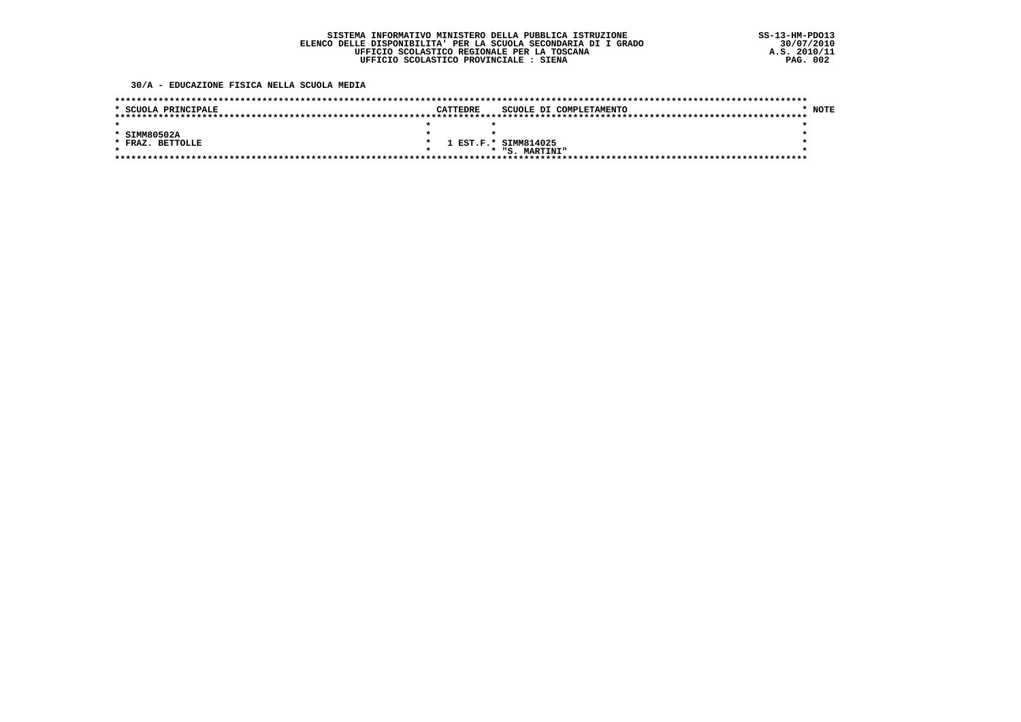30/A - EDUCAZIONE FISICA NELLA SCUOLA MEDIA

| * SCUOLA PRINCIPALE        | CATTEDRE | SCUOLE DI COMPLETAMENTO | <b>NOTE</b> |
|----------------------------|----------|-------------------------|-------------|
|                            |          |                         |             |
|                            |          |                         |             |
| * SIMM80502A               |          |                         |             |
| <b>BETTOLLE</b><br>* FRAZ. | $\star$  | 1 EST.F.* SIMM814025    |             |
|                            |          | * "S. MARTINI"          |             |
|                            |          |                         |             |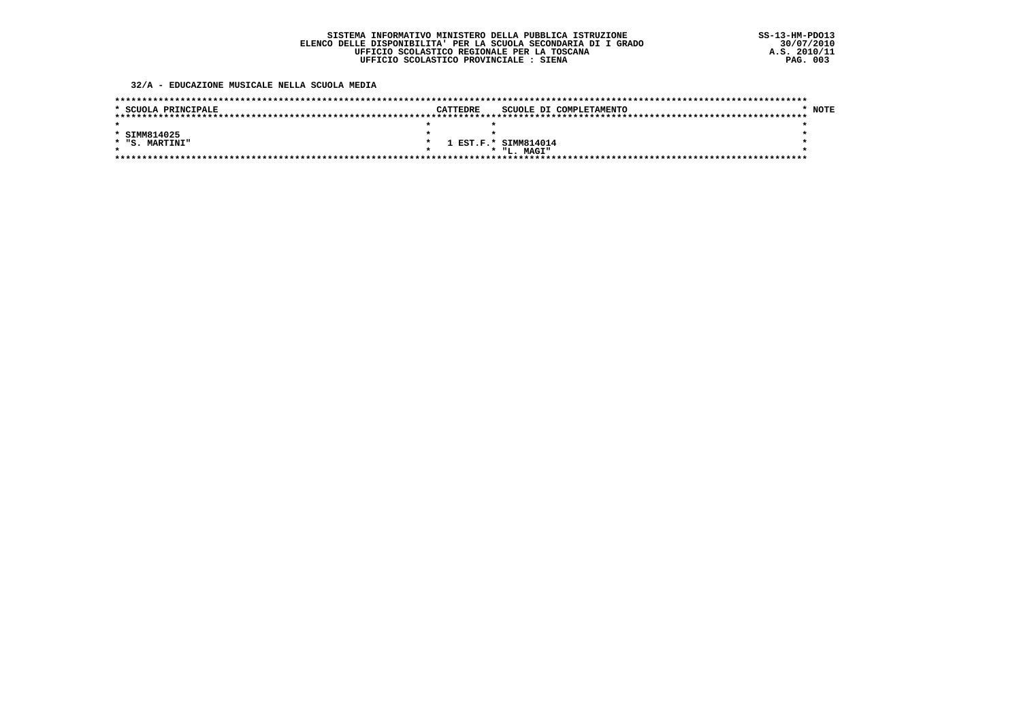32/A - EDUCAZIONE MUSICALE NELLA SCUOLA MEDIA

| * SCUOLA PRINCIPALE | CATTEDRE | SCUOLE DI COMPLETAMENTO | <b>NOTE</b> |
|---------------------|----------|-------------------------|-------------|
|                     |          | *****                   |             |
|                     |          |                         |             |
| * SIMM814025        |          |                         |             |
| * "S. MARTINI"      |          | 1 EST.F.* SIMM814014    |             |
|                     |          | * "L. MAGI"             |             |
|                     |          |                         |             |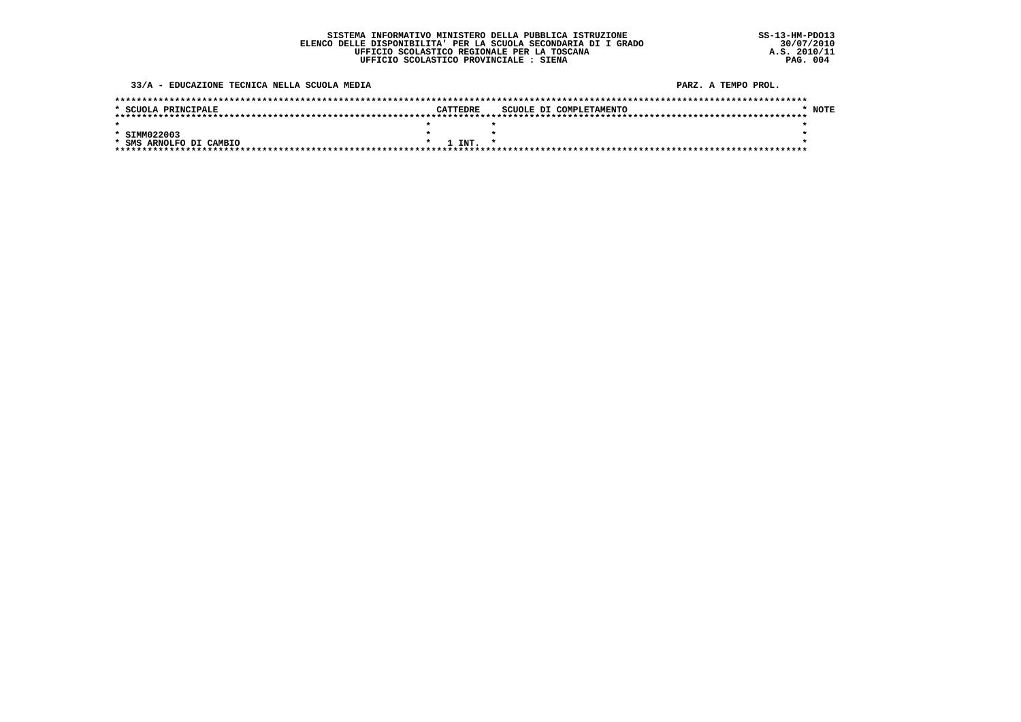33/A - EDUCAZIONE TECNICA NELLA SCUOLA MEDIA

PARZ, A TEMPO PROL.

| * SCUOLA PRINCIPALE     |  | CATTEDRE     |  | SCUOLE DI COMPLETAMENTO | NOTE |
|-------------------------|--|--------------|--|-------------------------|------|
|                         |  |              |  |                         |      |
|                         |  |              |  |                         |      |
| * SIMM022003            |  |              |  |                         |      |
| * SMS ARNOLFO DI CAMBIO |  | $1$ TNT. $*$ |  |                         |      |
|                         |  |              |  |                         |      |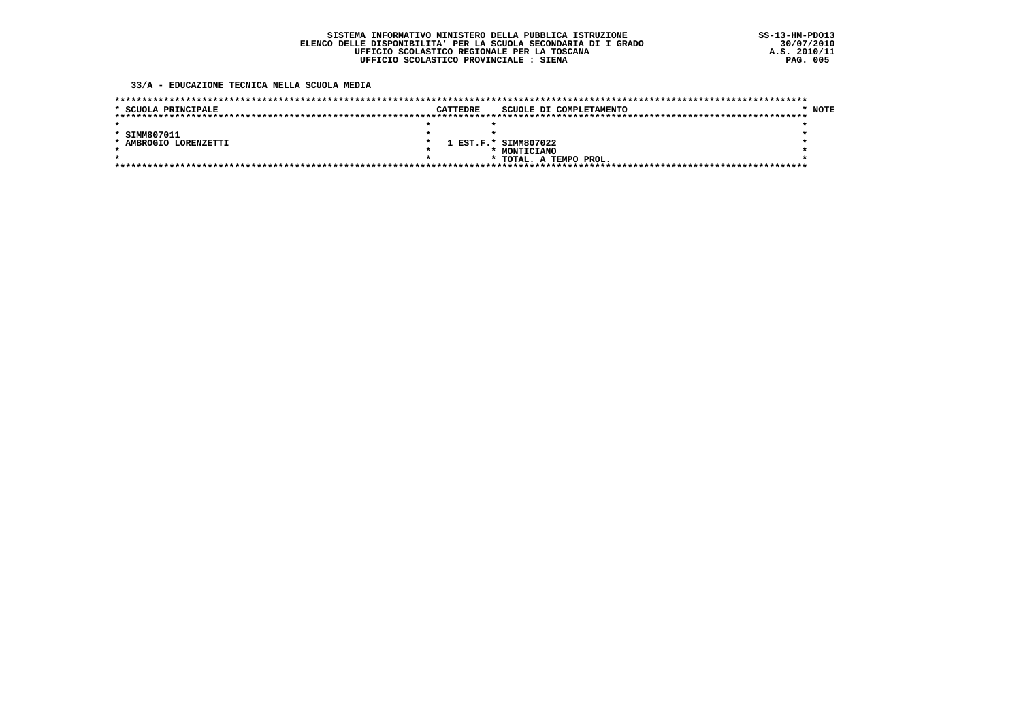33/A - EDUCAZIONE TECNICA NELLA SCUOLA MEDIA

| * SCUOLA PRINCIPALE   | <b>CATTEDRE</b> | SCUOLE DI COMPLETAMENTO |  |  |  | <b>NOTE</b> |
|-----------------------|-----------------|-------------------------|--|--|--|-------------|
|                       |                 |                         |  |  |  |             |
|                       |                 |                         |  |  |  |             |
| * SIMM807011          |                 |                         |  |  |  |             |
| * AMBROGIO LORENZETTI |                 | 1 EST.F.* SIMM807022    |  |  |  |             |
|                       |                 | MONTICIANO              |  |  |  |             |
| $\star$               |                 | * TOTAL. A TEMPO PROL.  |  |  |  |             |
|                       |                 |                         |  |  |  |             |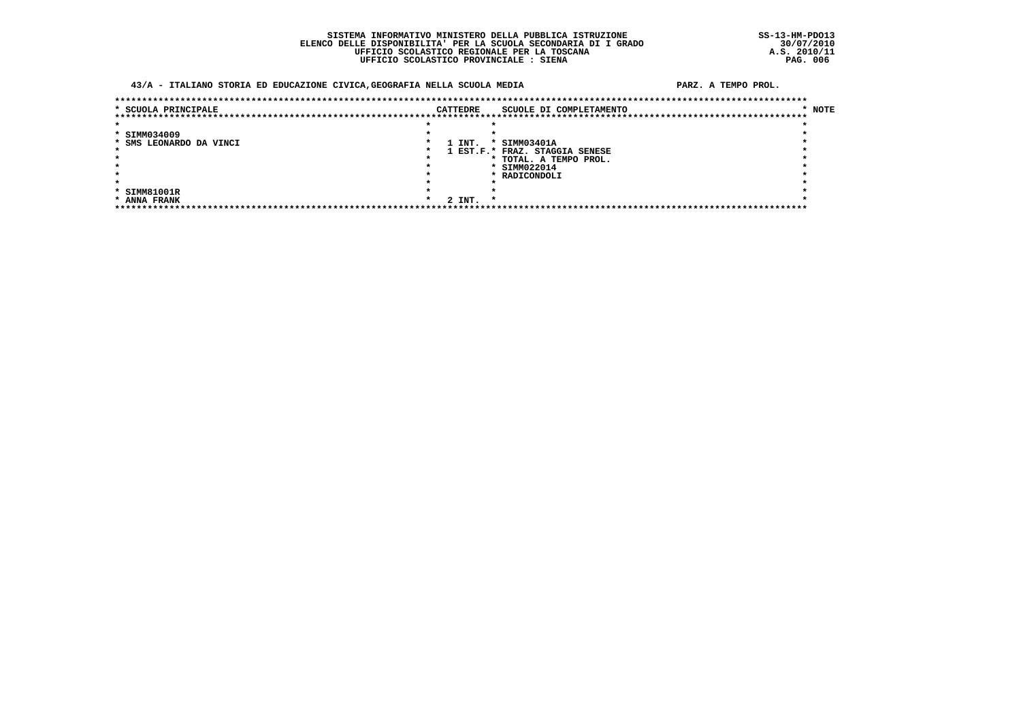### 43/A - ITALIANO STORIA ED EDUCAZIONE CIVICA, GEOGRAFIA NELLA SCUOLA MEDIA

#### PARZ. A TEMPO PROL.

| * SCUOLA PRINCIPALE     | <b>CATTEDRE</b> |        |        | SCUOLE DI COMPLETAMENTO        | * NOTE |
|-------------------------|-----------------|--------|--------|--------------------------------|--------|
|                         |                 |        |        |                                |        |
|                         |                 |        |        |                                |        |
| * SIMM034009            |                 |        |        |                                |        |
| * SMS LEONARDO DA VINCI |                 | 1 INT. |        | * SIMM03401A                   |        |
|                         |                 |        |        | 1 EST.F.* FRAZ. STAGGIA SENESE |        |
|                         |                 |        |        | * TOTAL. A TEMPO PROL.         |        |
|                         |                 |        |        | * SIMM022014                   |        |
|                         |                 |        |        | * RADICONDOLI                  |        |
|                         |                 |        |        |                                |        |
| * SIMM81001R            |                 |        |        |                                |        |
| * ANNA FRANK            |                 |        | 2 INT. |                                |        |
|                         |                 |        |        |                                |        |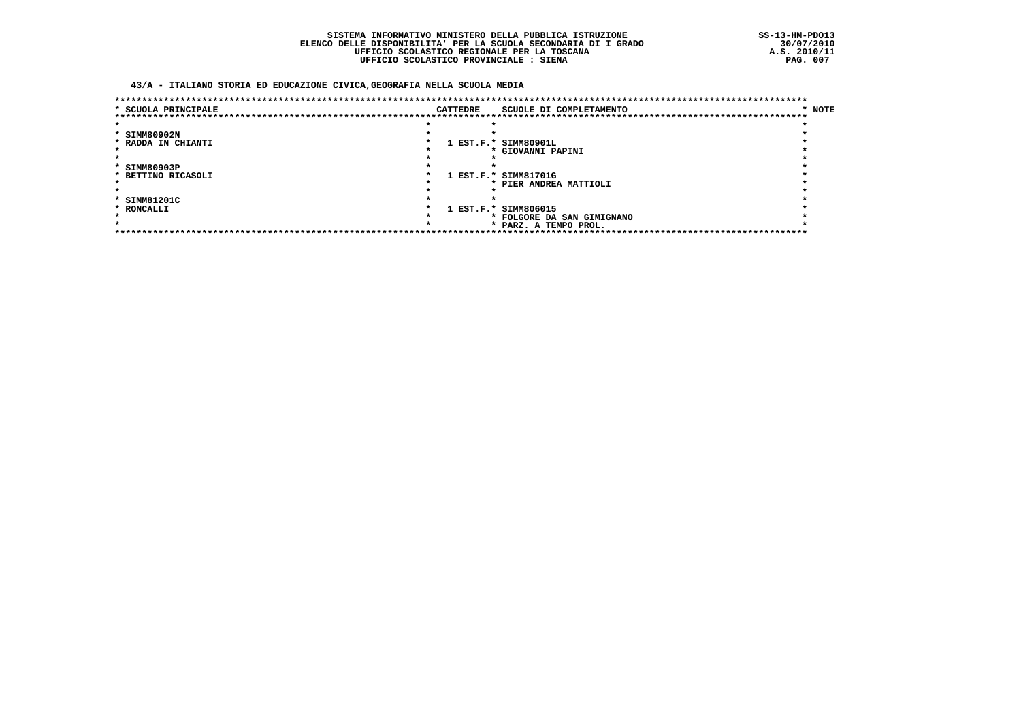### 43/A - ITALIANO STORIA ED EDUCAZIONE CIVICA, GEOGRAFIA NELLA SCUOLA MEDIA

| * SCUOLA PRINCIPALE |  | CATTEDRE | SCUOLE DI COMPLETAMENTO                | * NOTE |
|---------------------|--|----------|----------------------------------------|--------|
|                     |  |          | *******************************        |        |
|                     |  |          |                                        |        |
| * SIMM80902N        |  |          |                                        |        |
| * RADDA IN CHIANTI  |  |          | 1 EST.F.* SIMM80901L                   |        |
|                     |  |          | * GIOVANNI PAPINI                      |        |
|                     |  |          |                                        |        |
| * SIMM80903P        |  |          |                                        |        |
| * BETTINO RICASOLI  |  |          | 1 EST.F.* SIMM81701G                   |        |
|                     |  |          | * PIER ANDREA MATTIOLI                 |        |
|                     |  |          |                                        |        |
| * SIMM81201C        |  |          |                                        |        |
| * RONCALLI          |  |          | 1 EST.F.* SIMM806015                   |        |
|                     |  |          | * FOLGORE DA SAN GIMIGNANO             |        |
|                     |  |          | * PARZ. A TEMPO PROL.                  |        |
|                     |  |          | ************************************** |        |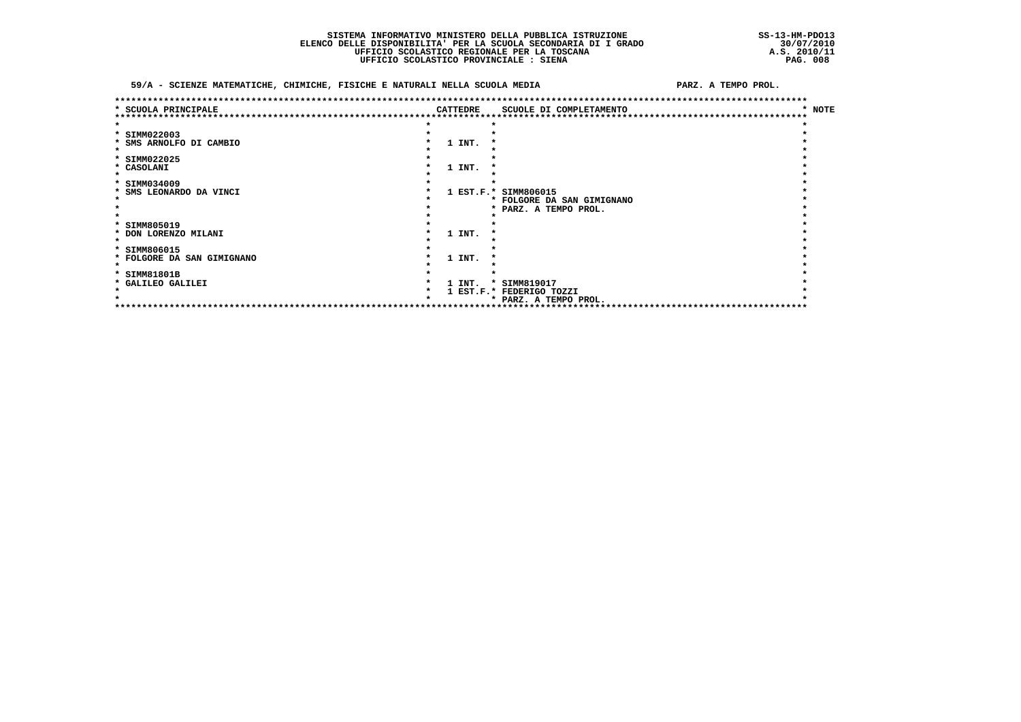$\bullet$ 

 $\star$ 

PARZ, A TEMPO PROL.

#### 59/A - SCIENZE MATEMATICHE, CHIMICHE, FISICHE E NATURALI NELLA SCUOLA MEDIA

 $\star$ 

| <b>SCUOLA PRINCIPALE</b>   | <b>CATTEDRE</b> | ******************************<br>SCUOLE DI COMPLETAMENTO | * NOTE |
|----------------------------|-----------------|-----------------------------------------------------------|--------|
|                            |                 |                                                           |        |
| * SIMM022003               |                 |                                                           |        |
| * SMS ARNOLFO DI CAMBIO    | 1 INT.          |                                                           |        |
|                            |                 |                                                           |        |
| * SIMM022025               |                 |                                                           |        |
| * CASOLANI                 | 1 INT.          |                                                           |        |
| * SIMM034009               |                 |                                                           |        |
| * SMS LEONARDO DA VINCI    |                 | 1 EST.F.* SIMM806015                                      |        |
|                            |                 | * FOLGORE DA SAN GIMIGNANO                                |        |
|                            |                 | * PARZ. A TEMPO PROL.                                     |        |
| * SIMM805019               |                 |                                                           |        |
| * DON LORENZO MILANI       | 1 INT.          |                                                           |        |
|                            |                 |                                                           |        |
| * SIMM806015               |                 |                                                           |        |
| * FOLGORE DA SAN GIMIGNANO | 1 INT.          |                                                           |        |
| * SIMM81801B               |                 |                                                           |        |
| * GALILEO GALILEI          | 1 INT.          | * SIMM819017                                              |        |

\* 1 INI. SIMMOLIST.<br>\* 1 EST.F.\* FEDERIGO TOZZI<br>\* \* PARZ. A TEMPO PROL.  $\star$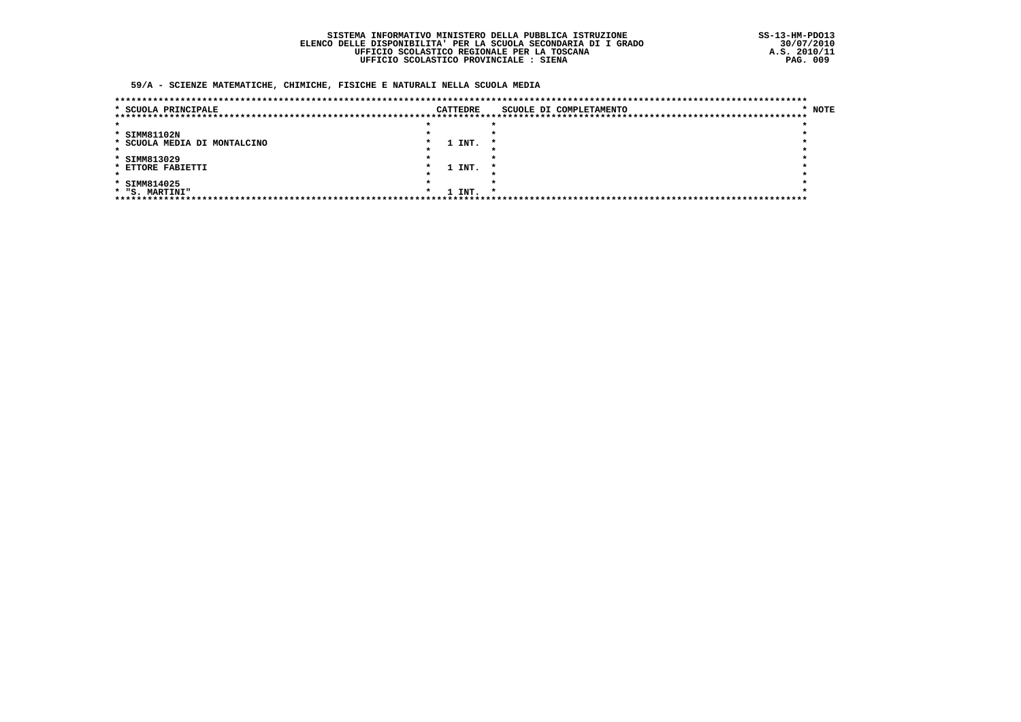### 59/A - SCIENZE MATEMATICHE, CHIMICHE, FISICHE E NATURALI NELLA SCUOLA MEDIA

| * SCUOLA PRINCIPALE          |  | CATTEDRE | SCUOLE DI COMPLETAMENTO | * NOTE |
|------------------------------|--|----------|-------------------------|--------|
|                              |  |          |                         |        |
|                              |  |          |                         |        |
| * SIMM81102N                 |  |          |                         |        |
| * SCUOLA MEDIA DI MONTALCINO |  | 1 INT.   |                         |        |
|                              |  |          |                         |        |
| * SIMM813029                 |  |          |                         |        |
| * ETTORE FABIETTI            |  | 1 INT.   | *                       |        |
|                              |  |          |                         |        |
| * SIMM814025                 |  |          |                         |        |
| * "S. MARTINI"               |  | 1 INT.   |                         |        |
|                              |  |          |                         |        |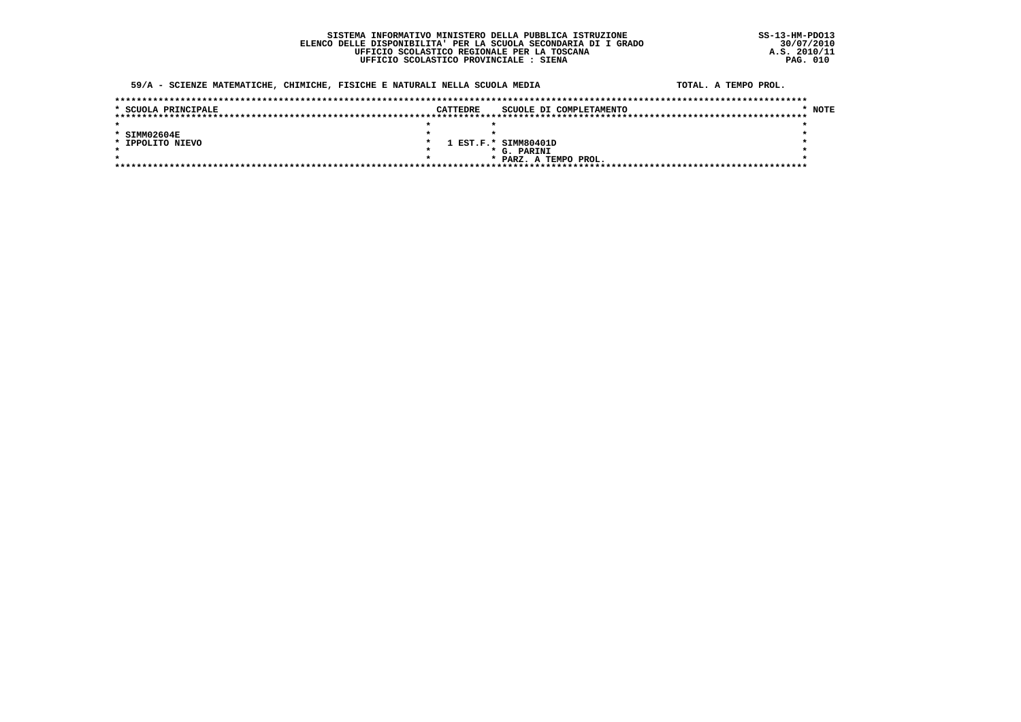### 59/A - SCIENZE MATEMATICHE, CHIMICHE, FISICHE E NATURALI NELLA SCUOLA MEDIA

| ΓA | TOTAL. A TEMPO PROL. |  |  |
|----|----------------------|--|--|
|    |                      |  |  |

| * SCUOLA PRINCIPALE | <b>CATTEDRE</b> | SCUOLE DI COMPLETAMENTO | <b>NOTE</b> |
|---------------------|-----------------|-------------------------|-------------|
|                     |                 |                         |             |
|                     |                 |                         |             |
| $*$ SIMM02604E      |                 |                         |             |
| * IPPOLITO NIEVO    |                 | 1 EST.F.* SIMM80401D    |             |
|                     |                 | * G. PARINI             |             |
|                     |                 | * PARZ. A TEMPO PROL.   |             |
|                     |                 |                         |             |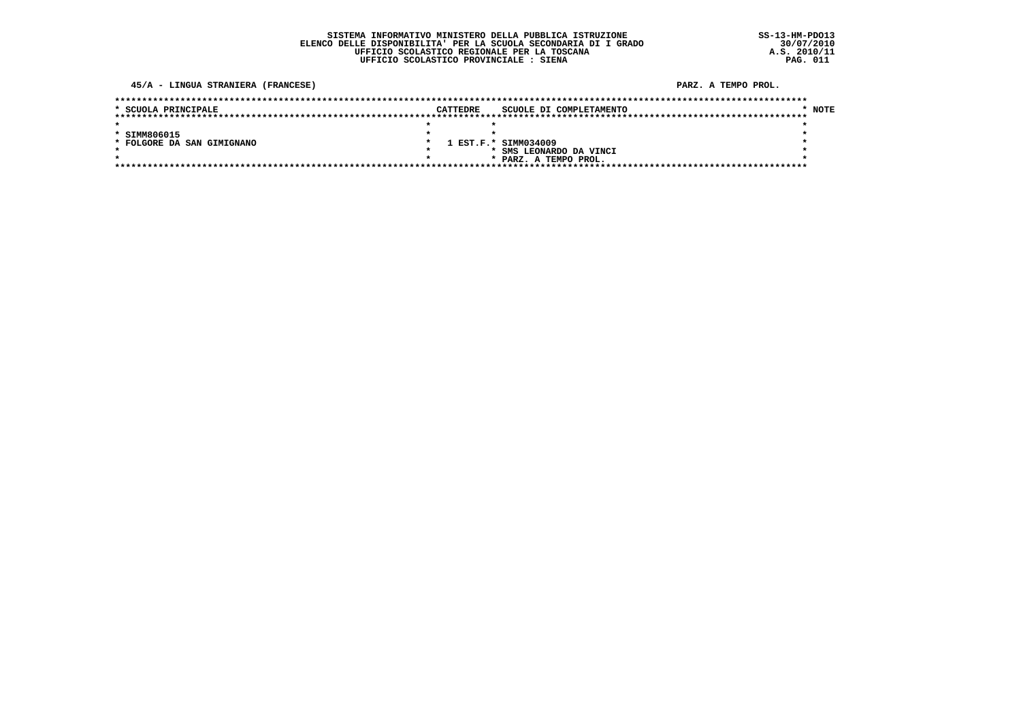### 45/A - LINGUA STRANIERA (FRANCESE)

### PARZ. A TEMPO PROL.

| * SCUOLA PRINCIPALE        | <b>CATTEDRE</b> |                      | SCUOLE DI COMPLETAMENTO | <b>NOTE</b> |
|----------------------------|-----------------|----------------------|-------------------------|-------------|
|                            |                 |                      |                         |             |
|                            |                 |                      |                         |             |
| * SIMM806015               |                 |                      |                         |             |
| * FOLGORE DA SAN GIMIGNANO |                 | 1 EST.F.* SIMM034009 |                         |             |
|                            |                 |                      | * SMS LEONARDO DA VINCI |             |
|                            |                 |                      | * PARZ. A TEMPO PROL.   |             |
|                            |                 |                      |                         |             |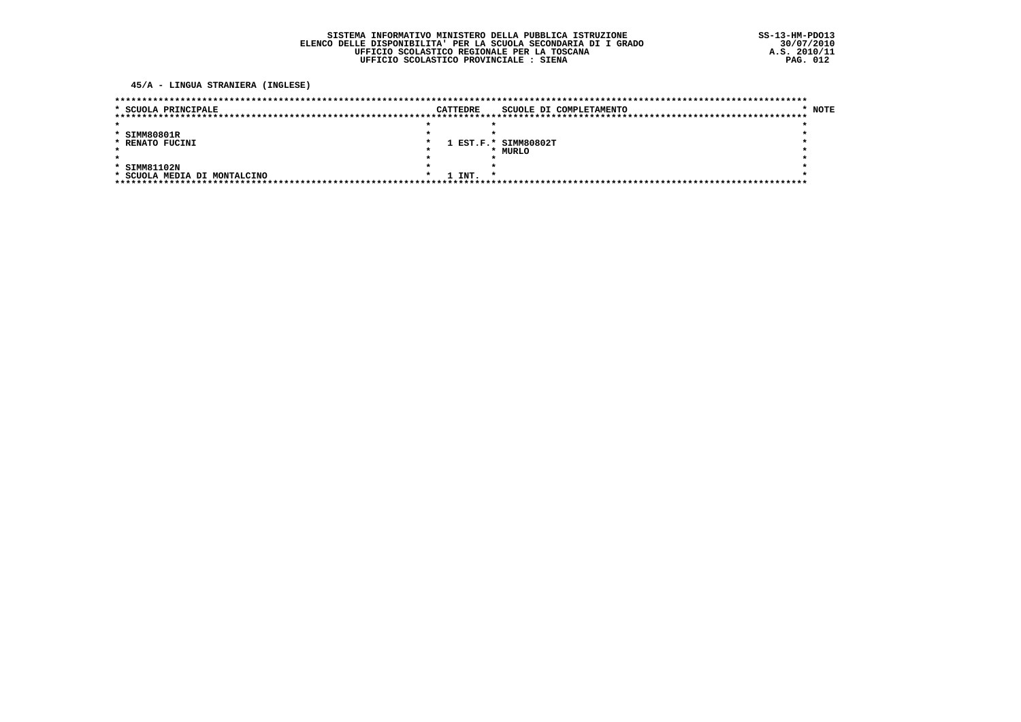45/A - LINGUA STRANIERA (INGLESE)

| * SCUOLA PRINCIPALE          | <b>CATTEDRE</b> | SCUOLE DI COMPLETAMENTO | <b>NOTE</b> |
|------------------------------|-----------------|-------------------------|-------------|
|                              |                 |                         |             |
|                              |                 |                         |             |
| * SIMM80801R                 |                 |                         |             |
| * RENATO FUCINI              |                 | 1 EST.F.* SIMM80802T    |             |
|                              |                 | * MURLO                 |             |
|                              |                 |                         |             |
| * SIMM81102N                 |                 |                         |             |
| * SCUOLA MEDIA DI MONTALCINO | 1 INT.          |                         |             |
|                              |                 |                         |             |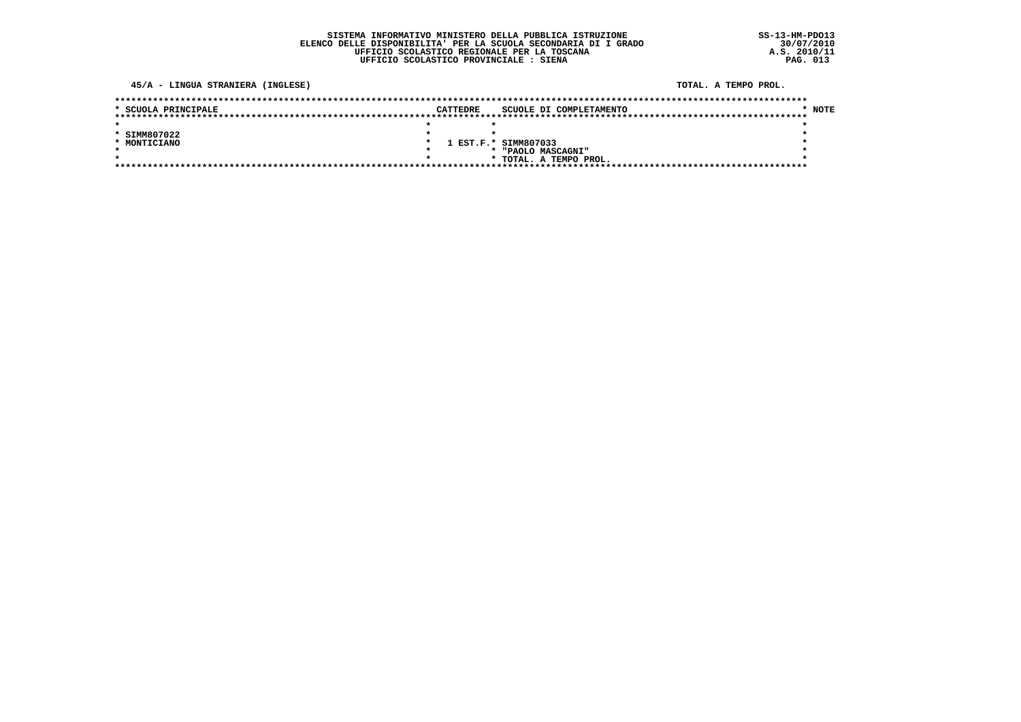### 45/A - LINGUA STRANIERA (INGLESE)

#### TOTAL. A TEMPO PROL.

| * SCUOLA PRINCIPALE | CATTEDRE             |  |                        | SCUOLE DI COMPLETAMENTO | <b>NOTE</b> |
|---------------------|----------------------|--|------------------------|-------------------------|-------------|
|                     |                      |  |                        |                         |             |
|                     |                      |  |                        |                         |             |
| * SIMM807022        |                      |  |                        |                         |             |
| * MONTICIANO        | 1 EST.F.* SIMM807033 |  |                        |                         |             |
|                     |                      |  | * "PAOLO MASCAGNI"     |                         |             |
|                     |                      |  | * TOTAL. A TEMPO PROL. |                         |             |
|                     |                      |  |                        |                         |             |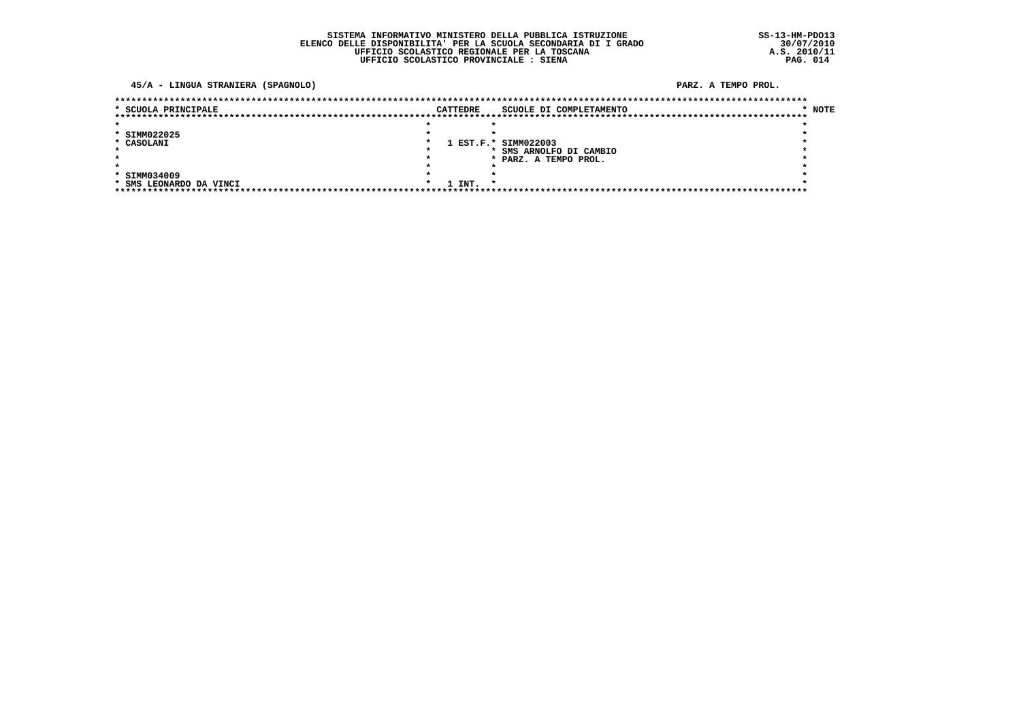45/A - LINGUA STRANIERA (SPAGNOLO)

PARZ. A TEMPO PROL.

| * SCUOLA PRINCIPALE     | <b>CATTEDRE</b> | SCUOLE DI COMPLETAMENTO | $*$ NOTE |
|-------------------------|-----------------|-------------------------|----------|
|                         |                 |                         |          |
|                         |                 |                         |          |
| * SIMM022025            |                 |                         |          |
| * CASOLANI              |                 | 1 EST.F.* SIMM022003    |          |
|                         |                 | SMS ARNOLFO DI CAMBIO   |          |
|                         |                 | * PARZ. A TEMPO PROL.   |          |
|                         |                 |                         |          |
| * SIMM034009            |                 |                         |          |
| * SMS LEONARDO DA VINCI | 1 INT.          |                         |          |
|                         |                 |                         |          |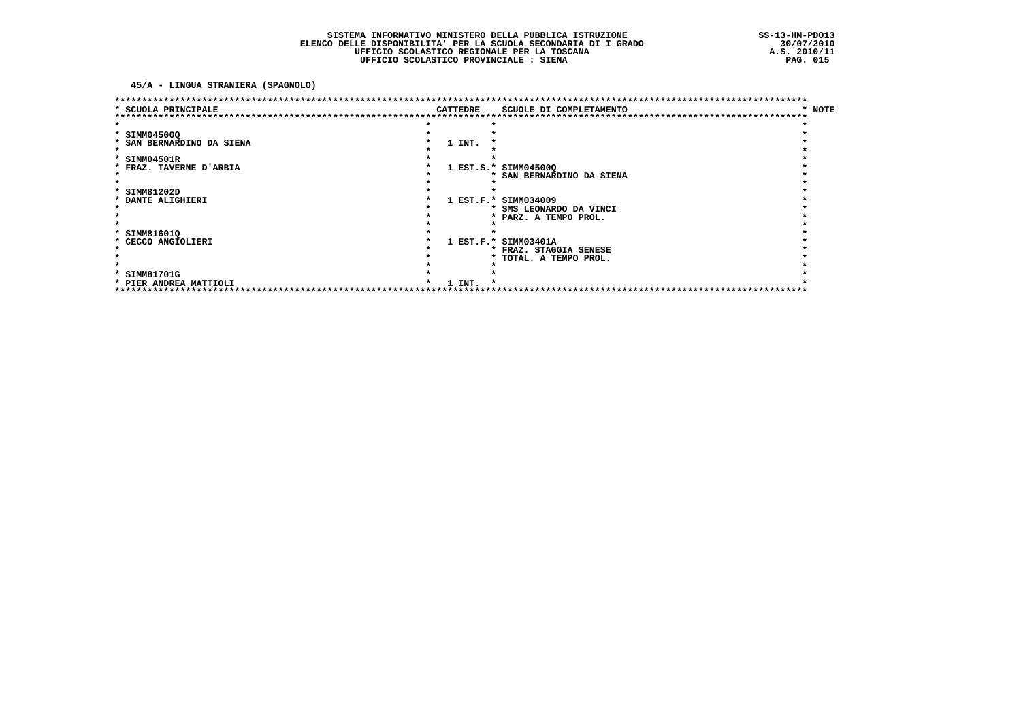45/A - LINGUA STRANIERA (SPAGNOLO)

|                           |          | ********************************  |                        |
|---------------------------|----------|-----------------------------------|------------------------|
| * SCUOLA PRINCIPALE       | CATTEDRE | SCUOLE DI COMPLETAMENTO           | <b>NOTE</b><br>$\star$ |
|                           |          |                                   |                        |
| * SIMM04500Q              |          |                                   |                        |
| * SAN BERNARDINO DA SIENA | 1 INT.   |                                   |                        |
|                           |          |                                   |                        |
| * SIMM04501R              |          |                                   |                        |
| * FRAZ. TAVERNE D'ARBIA   |          | 1 EST.S.* SIMM04500Q              |                        |
|                           |          | <b>SAN BERNARDINO DA SIENA</b>    |                        |
|                           |          |                                   |                        |
| * SIMM81202D              |          |                                   |                        |
| * DANTE ALIGHIERI         |          | 1 EST.F.* SIMM034009              |                        |
|                           |          | * SMS LEONARDO DA VINCI           |                        |
|                           |          | * PARZ. A TEMPO PROL.             |                        |
|                           |          |                                   |                        |
| * SIMM81601Q              |          |                                   |                        |
| * CECCO ANGIOLIERI        |          | 1 EST.F.* SIMM03401A              |                        |
|                           |          | * FRAZ. STAGGIA SENESE            |                        |
|                           |          | * TOTAL. A TEMPO PROL.            |                        |
|                           |          |                                   |                        |
| * SIMM81701G              |          |                                   |                        |
| * PIER ANDREA MATTIOLI    | $1$ TNT. | ********************************* |                        |
|                           |          |                                   |                        |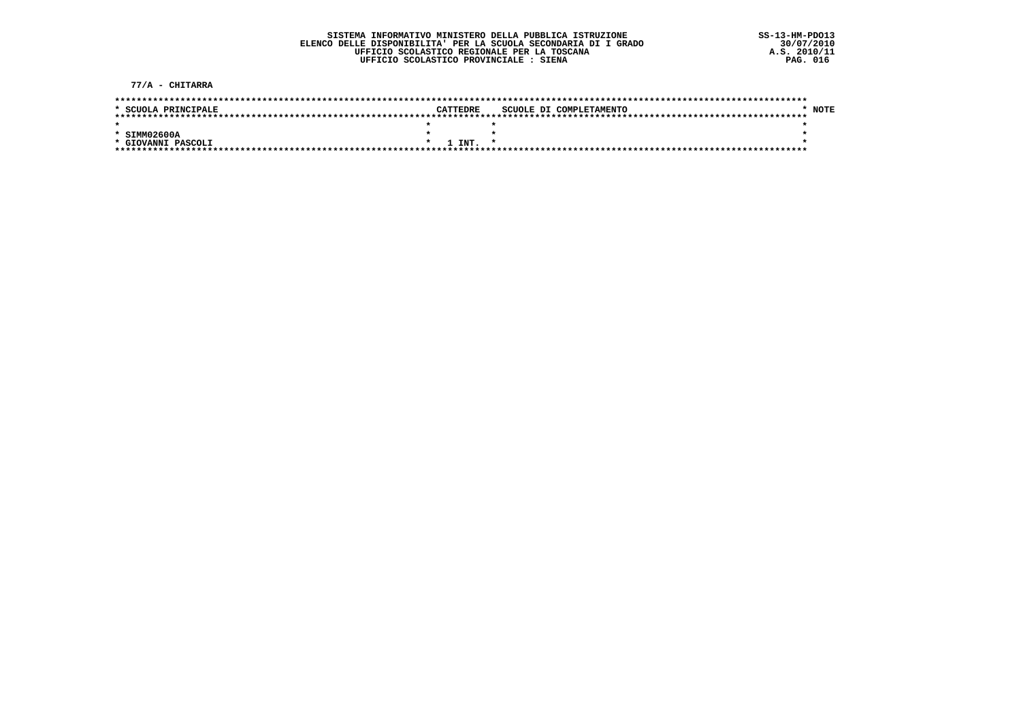77/A - CHITARRA

| * SCUOLA PRINCIPALE |  | CATTEDRE |  | SCUOLE DI COMPLETAMENTO | NOTE |
|---------------------|--|----------|--|-------------------------|------|
|                     |  |          |  |                         |      |
|                     |  |          |  |                         |      |
| $*$ SIMM02600A      |  |          |  |                         |      |
| * GIOVANNI PASCOLI  |  | 1 TNT.   |  |                         |      |
|                     |  |          |  |                         |      |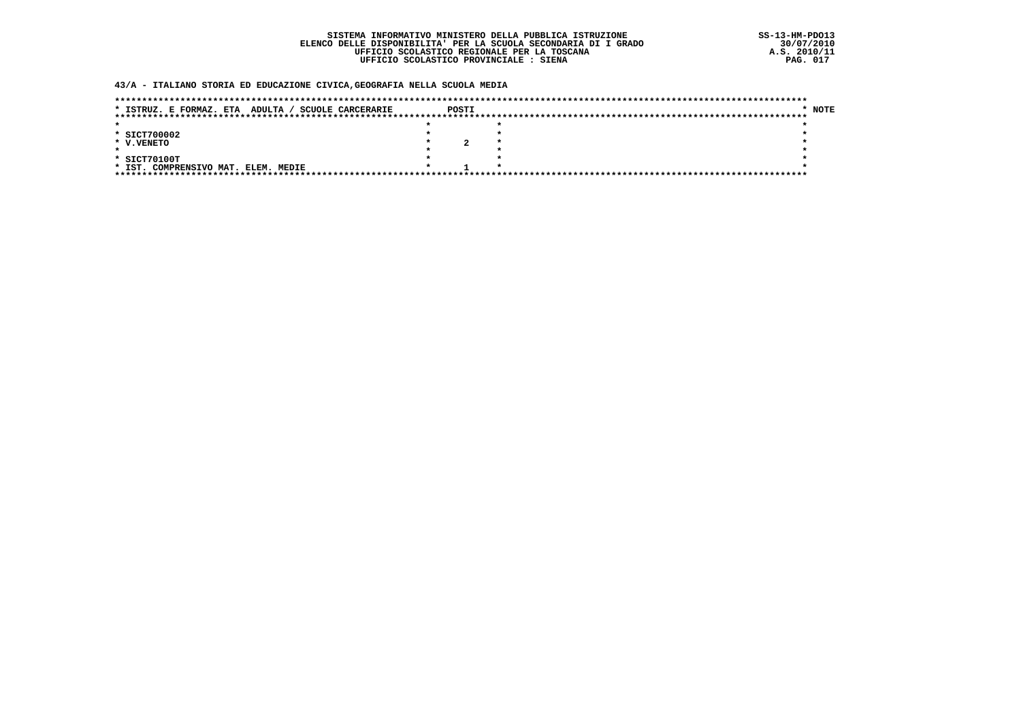### 43/A - ITALIANO STORIA ED EDUCAZIONE CIVICA, GEOGRAFIA NELLA SCUOLA MEDIA

| ADULTA.<br>* ISTRUZ. E FORMAZ. ETA<br><b>SCUOLE CARCERARIE</b> | POSTI | * NOTE |
|----------------------------------------------------------------|-------|--------|
|                                                                |       |        |
|                                                                |       |        |
| * SICT700002                                                   |       |        |
| * V.VENETO                                                     |       |        |
|                                                                |       |        |
| * SICT70100T                                                   |       |        |
| COMPRENSIVO MAT.<br>* IST.<br>ELEM. MEDIE                      |       |        |
| ****************************                                   |       |        |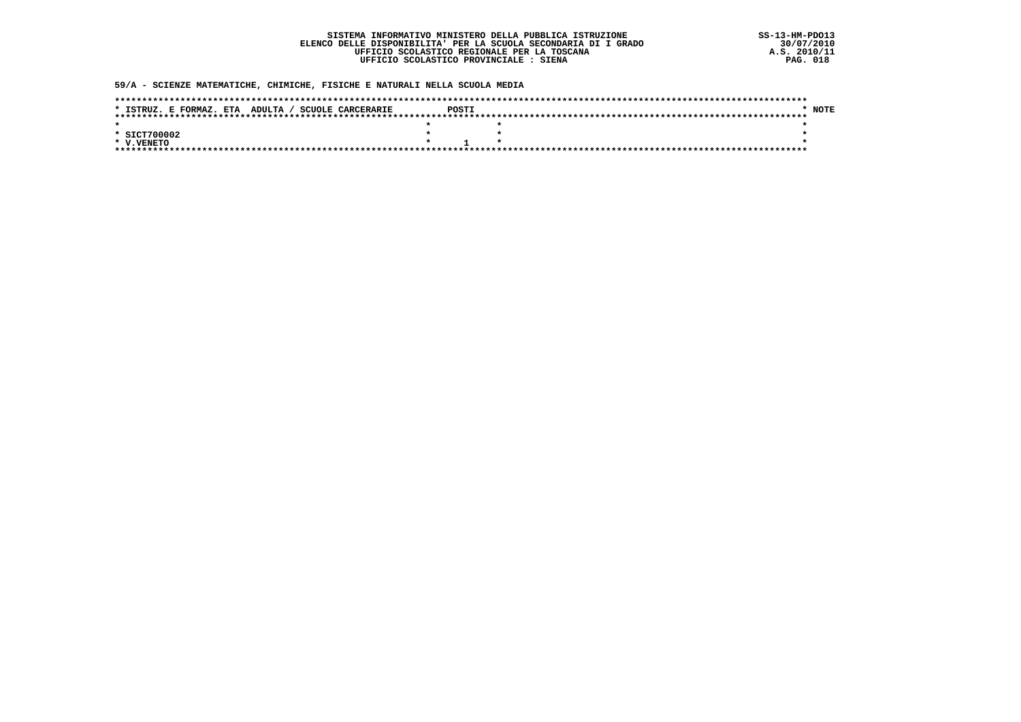### 59/A - SCIENZE MATEMATICHE, CHIMICHE, FISICHE E NATURALI NELLA SCUOLA MEDIA

| * ISTRUZ. E FORMAZ. ETA ADULTA / SCUOLE CARCERARIE | POSTI | NOTF |
|----------------------------------------------------|-------|------|
|                                                    |       |      |
|                                                    |       |      |
| * SICT700002                                       |       |      |
| * V.VENETO                                         |       |      |
|                                                    |       |      |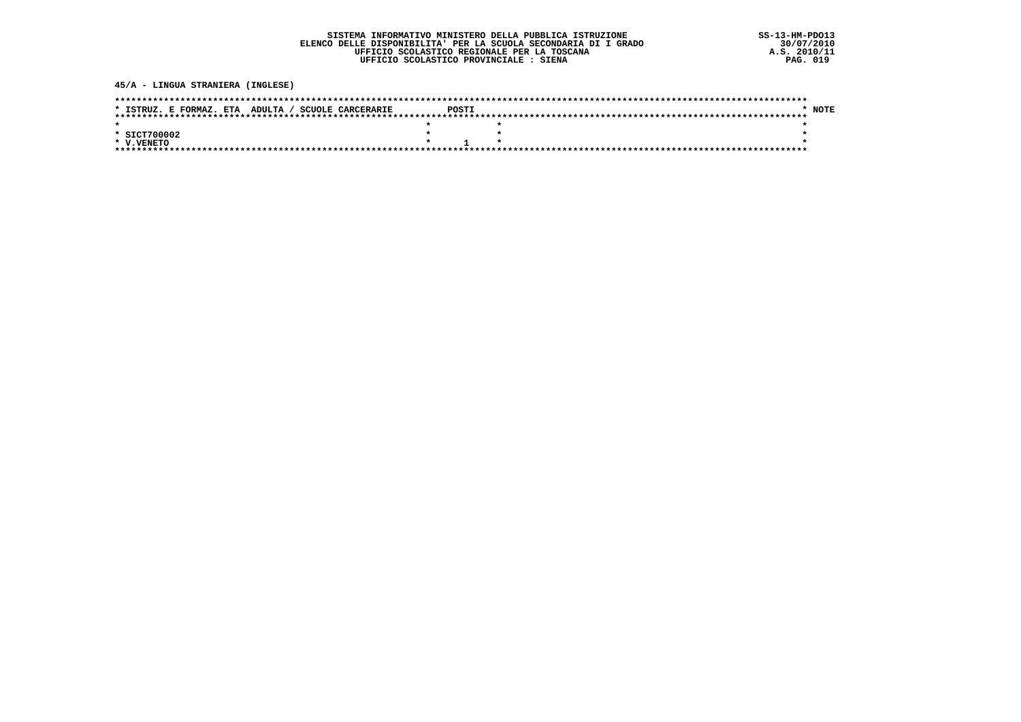45/A - LINGUA STRANIERA (INGLESE)

| * ISTRUZ. E FORMAZ. ETA ADULTA / SCUOLE CARCERARIE | POSTI             | NOTE |
|----------------------------------------------------|-------------------|------|
|                                                    |                   |      |
|                                                    |                   |      |
| * SICT700002                                       |                   |      |
| * V.VENETO                                         | $\star$ 1 $\star$ |      |
|                                                    |                   |      |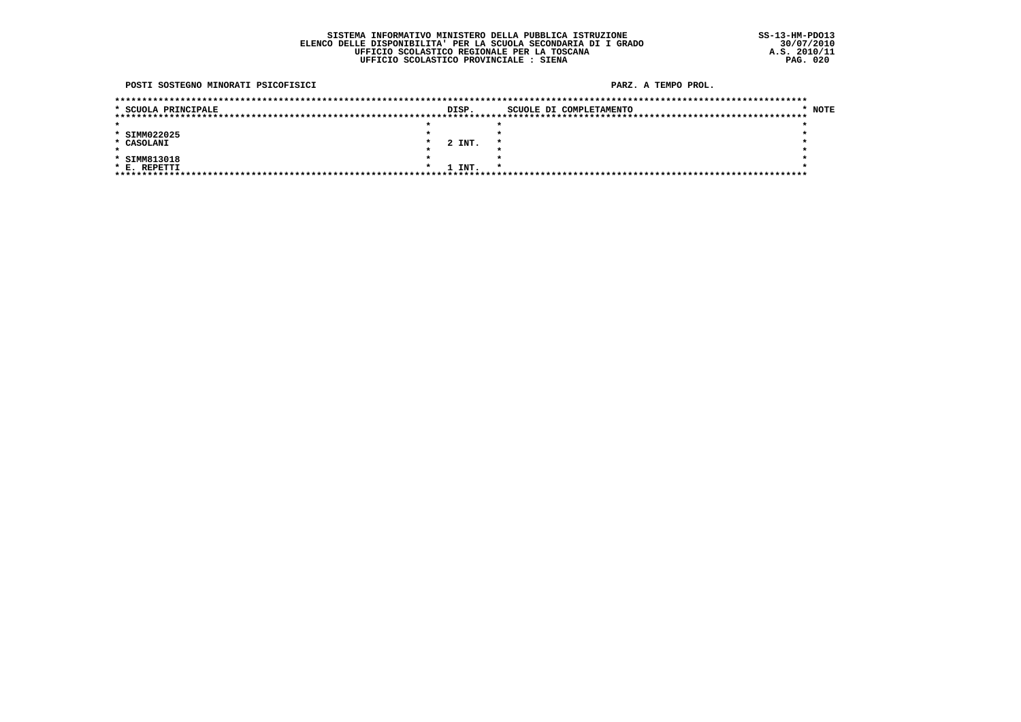POSTI SOSTEGNO MINORATI PSICOFISICI

#### PARZ. A TEMPO PROL.

| * SCUOLA PRINCIPALE | DISP.  |  | SCUOLE DI COMPLETAMENTO | * NOTE |
|---------------------|--------|--|-------------------------|--------|
|                     |        |  |                         |        |
|                     |        |  |                         |        |
| * SIMM022025        |        |  |                         |        |
| * CASOLANI          | 2 INT. |  |                         |        |
|                     |        |  |                         |        |
| * SIMM813018        |        |  |                         |        |
| * E. REPETTI        | 1 INT. |  |                         |        |
|                     |        |  |                         |        |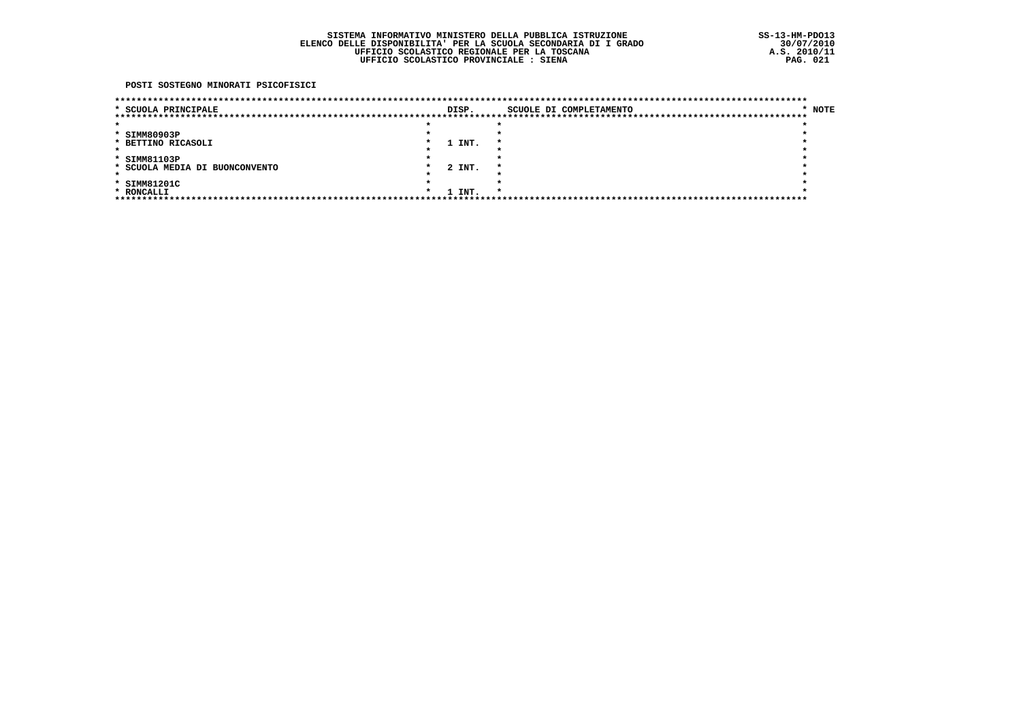POSTI SOSTEGNO MINORATI PSICOFISICI

| * SCUOLA PRINCIPALE            |  | DISP.  |                     |  | SCUOLE DI COMPLETAMENTO | * NOTE |
|--------------------------------|--|--------|---------------------|--|-------------------------|--------|
|                                |  |        |                     |  |                         |        |
|                                |  |        |                     |  |                         |        |
| * SIMM80903P                   |  |        |                     |  |                         |        |
| * BETTINO RICASOLI             |  | 1 INT. | $\boldsymbol{\ast}$ |  |                         |        |
|                                |  |        |                     |  |                         |        |
| * SIMM81103P                   |  |        |                     |  |                         |        |
| * SCUOLA MEDIA DI BUONCONVENTO |  | 2 INT. |                     |  |                         |        |
|                                |  |        |                     |  |                         |        |
| * SIMM81201C                   |  |        |                     |  |                         |        |
| * RONCALLI                     |  | 1 INT. |                     |  |                         |        |
|                                |  |        |                     |  |                         |        |